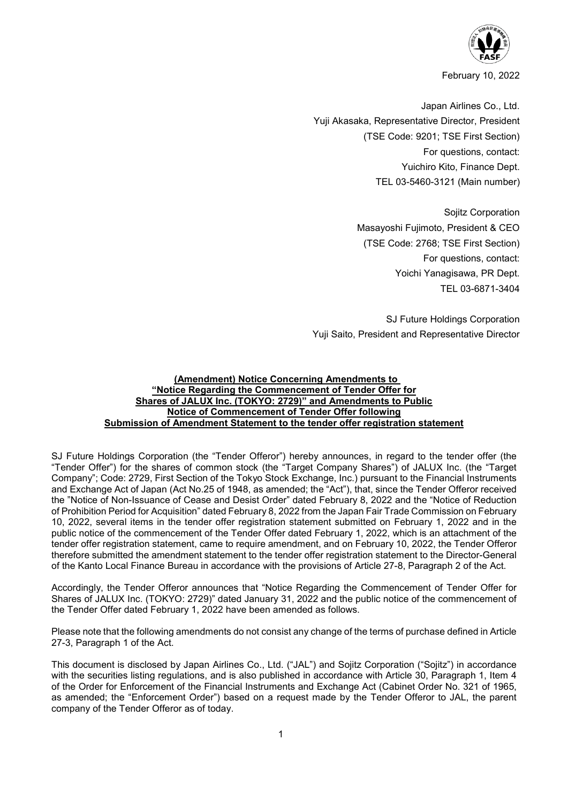

February 10, 2022

Japan Airlines Co., Ltd. Yuji Akasaka, Representative Director, President (TSE Code: 9201; TSE First Section) For questions, contact: Yuichiro Kito, Finance Dept. TEL 03-5460-3121 (Main number)

> Sojitz Corporation Masayoshi Fujimoto, President & CEO (TSE Code: 2768; TSE First Section) For questions, contact: Yoichi Yanagisawa, PR Dept. TEL 03-6871-3404

SJ Future Holdings Corporation Yuji Saito, President and Representative Director

# **(Amendment) Notice Concerning Amendments to "Notice Regarding the Commencement of Tender Offer for Shares of JALUX Inc. (TOKYO: 2729)" and Amendments to Public Notice of Commencement of Tender Offer following Submission of Amendment Statement to the tender offer registration statement**

SJ Future Holdings Corporation (the "Tender Offeror") hereby announces, in regard to the tender offer (the "Tender Offer") for the shares of common stock (the "Target Company Shares") of JALUX Inc. (the "Target Company"; Code: 2729, First Section of the Tokyo Stock Exchange, Inc.) pursuant to the Financial Instruments and Exchange Act of Japan (Act No.25 of 1948, as amended; the "Act"), that, since the Tender Offeror received the "Notice of Non-Issuance of Cease and Desist Order" dated February 8, 2022 and the "Notice of Reduction of Prohibition Period for Acquisition" dated February 8, 2022 from the Japan Fair Trade Commission on February 10, 2022, several items in the tender offer registration statement submitted on February 1, 2022 and in the public notice of the commencement of the Tender Offer dated February 1, 2022, which is an attachment of the tender offer registration statement, came to require amendment, and on February 10, 2022, the Tender Offeror therefore submitted the amendment statement to the tender offer registration statement to the Director-General of the Kanto Local Finance Bureau in accordance with the provisions of Article 27-8, Paragraph 2 of the Act.

Accordingly, the Tender Offeror announces that "Notice Regarding the Commencement of Tender Offer for Shares of JALUX Inc. (TOKYO: 2729)" dated January 31, 2022 and the public notice of the commencement of the Tender Offer dated February 1, 2022 have been amended as follows.

Please note that the following amendments do not consist any change of the terms of purchase defined in Article 27-3, Paragraph 1 of the Act.

This document is disclosed by Japan Airlines Co., Ltd. ("JAL") and Sojitz Corporation ("Sojitz") in accordance with the securities listing regulations, and is also published in accordance with Article 30, Paragraph 1, Item 4 of the Order for Enforcement of the Financial Instruments and Exchange Act (Cabinet Order No. 321 of 1965, as amended; the "Enforcement Order") based on a request made by the Tender Offeror to JAL, the parent company of the Tender Offeror as of today.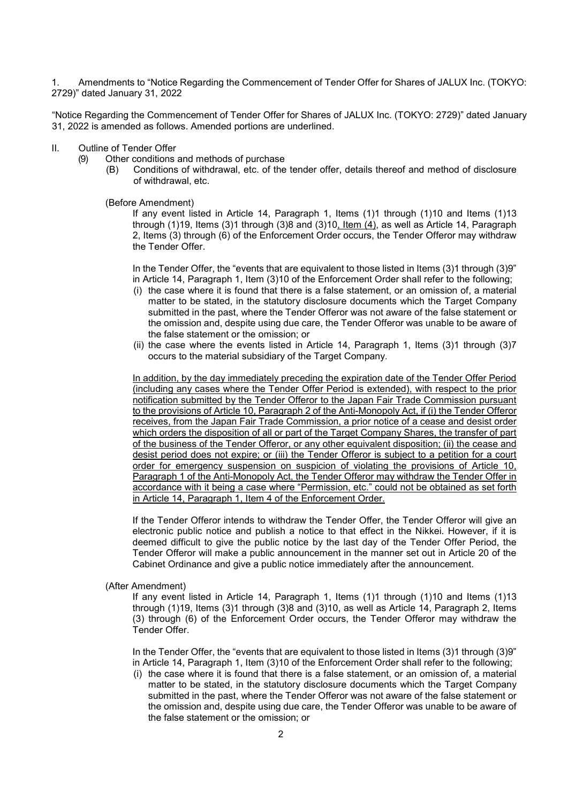1. Amendments to "Notice Regarding the Commencement of Tender Offer for Shares of JALUX Inc. (TOKYO: 2729)" dated January 31, 2022

"Notice Regarding the Commencement of Tender Offer for Shares of JALUX Inc. (TOKYO: 2729)" dated January 31, 2022 is amended as follows. Amended portions are underlined.

- II. Outline of Tender Offer<br>(9) Other conditions
	- Other conditions and methods of purchase
		- (B) Conditions of withdrawal, etc. of the tender offer, details thereof and method of disclosure of withdrawal, etc.

(Before Amendment)

If any event listed in Article 14, Paragraph 1, Items (1)1 through (1)10 and Items (1)13 through (1)19, Items (3)1 through (3)8 and (3)10, Item (4), as well as Article 14, Paragraph 2, Items (3) through (6) of the Enforcement Order occurs, the Tender Offeror may withdraw the Tender Offer.

In the Tender Offer, the "events that are equivalent to those listed in Items (3)1 through (3)9" in Article 14, Paragraph 1, Item (3)10 of the Enforcement Order shall refer to the following;

- (i) the case where it is found that there is a false statement, or an omission of, a material matter to be stated, in the statutory disclosure documents which the Target Company submitted in the past, where the Tender Offeror was not aware of the false statement or the omission and, despite using due care, the Tender Offeror was unable to be aware of the false statement or the omission; or
- (ii) the case where the events listed in Article 14, Paragraph 1, Items (3)1 through (3)7 occurs to the material subsidiary of the Target Company.

In addition, by the day immediately preceding the expiration date of the Tender Offer Period (including any cases where the Tender Offer Period is extended), with respect to the prior notification submitted by the Tender Offeror to the Japan Fair Trade Commission pursuant to the provisions of Article 10, Paragraph 2 of the Anti-Monopoly Act, if (i) the Tender Offeror receives, from the Japan Fair Trade Commission, a prior notice of a cease and desist order which orders the disposition of all or part of the Target Company Shares, the transfer of part of the business of the Tender Offeror, or any other equivalent disposition; (ii) the cease and desist period does not expire; or (iii) the Tender Offeror is subject to a petition for a court order for emergency suspension on suspicion of violating the provisions of Article 10, Paragraph 1 of the Anti-Monopoly Act, the Tender Offeror may withdraw the Tender Offer in accordance with it being a case where "Permission, etc." could not be obtained as set forth in Article 14, Paragraph 1, Item 4 of the Enforcement Order.

If the Tender Offeror intends to withdraw the Tender Offer, the Tender Offeror will give an electronic public notice and publish a notice to that effect in the Nikkei. However, if it is deemed difficult to give the public notice by the last day of the Tender Offer Period, the Tender Offeror will make a public announcement in the manner set out in Article 20 of the Cabinet Ordinance and give a public notice immediately after the announcement.

(After Amendment)

If any event listed in Article 14, Paragraph 1, Items (1)1 through (1)10 and Items (1)13 through (1)19, Items (3)1 through (3)8 and (3)10, as well as Article 14, Paragraph 2, Items (3) through (6) of the Enforcement Order occurs, the Tender Offeror may withdraw the Tender Offer.

In the Tender Offer, the "events that are equivalent to those listed in Items (3)1 through (3)9" in Article 14, Paragraph 1, Item (3)10 of the Enforcement Order shall refer to the following;

(i) the case where it is found that there is a false statement, or an omission of, a material matter to be stated, in the statutory disclosure documents which the Target Company submitted in the past, where the Tender Offeror was not aware of the false statement or the omission and, despite using due care, the Tender Offeror was unable to be aware of the false statement or the omission; or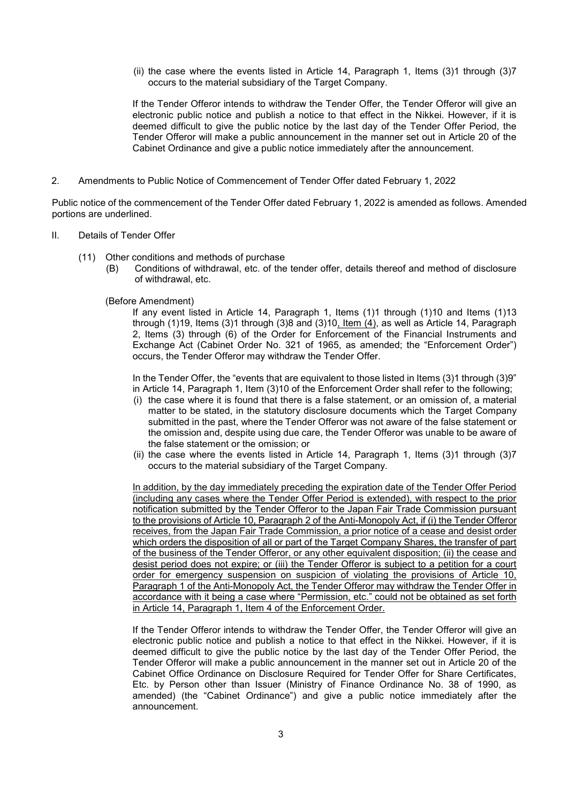(ii) the case where the events listed in Article 14, Paragraph 1, Items (3)1 through (3)7 occurs to the material subsidiary of the Target Company.

If the Tender Offeror intends to withdraw the Tender Offer, the Tender Offeror will give an electronic public notice and publish a notice to that effect in the Nikkei. However, if it is deemed difficult to give the public notice by the last day of the Tender Offer Period, the Tender Offeror will make a public announcement in the manner set out in Article 20 of the Cabinet Ordinance and give a public notice immediately after the announcement.

2. Amendments to Public Notice of Commencement of Tender Offer dated February 1, 2022

Public notice of the commencement of the Tender Offer dated February 1, 2022 is amended as follows. Amended portions are underlined.

- II. Details of Tender Offer
	- (11) Other conditions and methods of purchase<br>(B) Conditions of withdrawal, etc. of the
		- Conditions of withdrawal, etc. of the tender offer, details thereof and method of disclosure of withdrawal, etc.
		- (Before Amendment)

If any event listed in Article 14, Paragraph 1, Items (1)1 through (1)10 and Items (1)13 through (1)19, Items (3)1 through (3)8 and (3)10, Item (4), as well as Article 14, Paragraph 2, Items (3) through (6) of the Order for Enforcement of the Financial Instruments and Exchange Act (Cabinet Order No. 321 of 1965, as amended; the "Enforcement Order") occurs, the Tender Offeror may withdraw the Tender Offer.

In the Tender Offer, the "events that are equivalent to those listed in Items (3)1 through (3)9" in Article 14, Paragraph 1, Item (3)10 of the Enforcement Order shall refer to the following;

- (i) the case where it is found that there is a false statement, or an omission of, a material matter to be stated, in the statutory disclosure documents which the Target Company submitted in the past, where the Tender Offeror was not aware of the false statement or the omission and, despite using due care, the Tender Offeror was unable to be aware of the false statement or the omission; or
- (ii) the case where the events listed in Article 14, Paragraph 1, Items (3)1 through (3)7 occurs to the material subsidiary of the Target Company.

In addition, by the day immediately preceding the expiration date of the Tender Offer Period (including any cases where the Tender Offer Period is extended), with respect to the prior notification submitted by the Tender Offeror to the Japan Fair Trade Commission pursuant to the provisions of Article 10, Paragraph 2 of the Anti-Monopoly Act, if (i) the Tender Offeror receives, from the Japan Fair Trade Commission, a prior notice of a cease and desist order which orders the disposition of all or part of the Target Company Shares, the transfer of part of the business of the Tender Offeror, or any other equivalent disposition; (ii) the cease and desist period does not expire; or (iii) the Tender Offeror is subject to a petition for a court order for emergency suspension on suspicion of violating the provisions of Article 10, Paragraph 1 of the Anti-Monopoly Act, the Tender Offeror may withdraw the Tender Offer in accordance with it being a case where "Permission, etc." could not be obtained as set forth in Article 14, Paragraph 1, Item 4 of the Enforcement Order.

If the Tender Offeror intends to withdraw the Tender Offer, the Tender Offeror will give an electronic public notice and publish a notice to that effect in the Nikkei. However, if it is deemed difficult to give the public notice by the last day of the Tender Offer Period, the Tender Offeror will make a public announcement in the manner set out in Article 20 of the Cabinet Office Ordinance on Disclosure Required for Tender Offer for Share Certificates, Etc. by Person other than Issuer (Ministry of Finance Ordinance No. 38 of 1990, as amended) (the "Cabinet Ordinance") and give a public notice immediately after the announcement.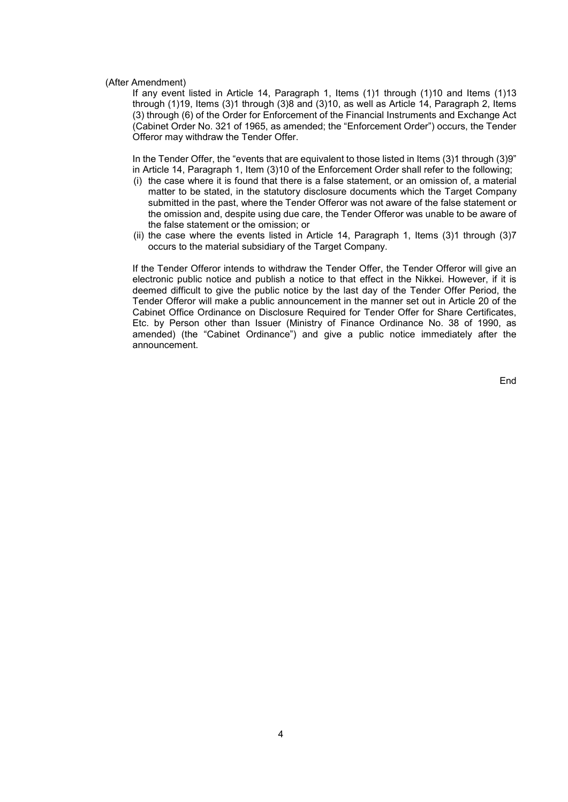#### (After Amendment)

If any event listed in Article 14, Paragraph 1, Items (1)1 through (1)10 and Items (1)13 through (1)19, Items (3)1 through (3)8 and (3)10, as well as Article 14, Paragraph 2, Items (3) through (6) of the Order for Enforcement of the Financial Instruments and Exchange Act (Cabinet Order No. 321 of 1965, as amended; the "Enforcement Order") occurs, the Tender Offeror may withdraw the Tender Offer.

In the Tender Offer, the "events that are equivalent to those listed in Items (3)1 through (3)9" in Article 14, Paragraph 1, Item (3)10 of the Enforcement Order shall refer to the following;

- (i) the case where it is found that there is a false statement, or an omission of, a material matter to be stated, in the statutory disclosure documents which the Target Company submitted in the past, where the Tender Offeror was not aware of the false statement or the omission and, despite using due care, the Tender Offeror was unable to be aware of the false statement or the omission; or
- (ii) the case where the events listed in Article 14, Paragraph 1, Items (3)1 through (3)7 occurs to the material subsidiary of the Target Company.

If the Tender Offeror intends to withdraw the Tender Offer, the Tender Offeror will give an electronic public notice and publish a notice to that effect in the Nikkei. However, if it is deemed difficult to give the public notice by the last day of the Tender Offer Period, the Tender Offeror will make a public announcement in the manner set out in Article 20 of the Cabinet Office Ordinance on Disclosure Required for Tender Offer for Share Certificates, Etc. by Person other than Issuer (Ministry of Finance Ordinance No. 38 of 1990, as amended) (the "Cabinet Ordinance") and give a public notice immediately after the announcement.

End